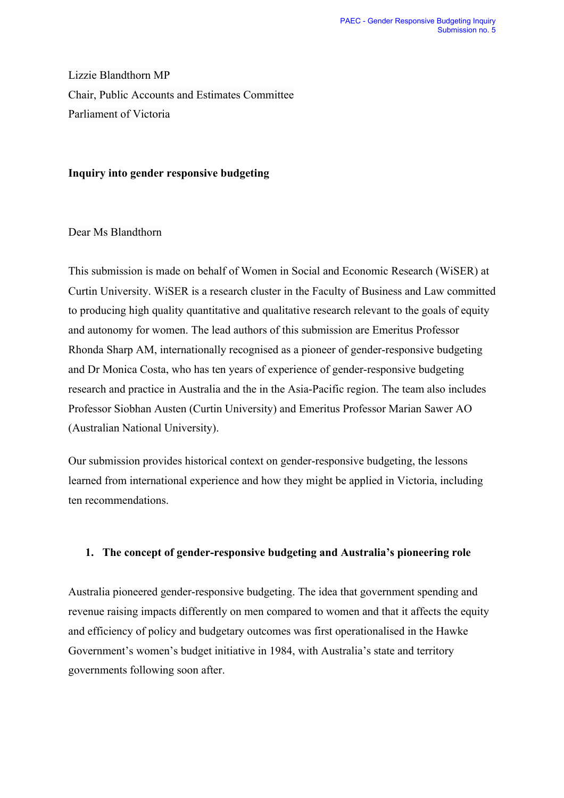Lizzie Blandthorn MP Chair, Public Accounts and Estimates Committee Parliament of Victoria

#### **Inquiry into gender responsive budgeting**

# Dear Ms Blandthorn

This submission is made on behalf of Women in Social and Economic Research (WiSER) at Curtin University. WiSER is a research cluster in the Faculty of Business and Law committed to producing high quality quantitative and qualitative research relevant to the goals of equity and autonomy for women. The lead authors of this submission are Emeritus Professor Rhonda Sharp AM, internationally recognised as a pioneer of gender-responsive budgeting and Dr Monica Costa, who has ten years of experience of gender-responsive budgeting research and practice in Australia and the in the Asia-Pacific region. The team also includes Professor Siobhan Austen (Curtin University) and Emeritus Professor Marian Sawer AO (Australian National University).

Our submission provides historical context on gender-responsive budgeting, the lessons learned from international experience and how they might be applied in Victoria, including ten recommendations.

# **1. The concept of gender-responsive budgeting and Australia's pioneering role**

Australia pioneered gender-responsive budgeting. The idea that government spending and revenue raising impacts differently on men compared to women and that it affects the equity and efficiency of policy and budgetary outcomes was first operationalised in the Hawke Government's women's budget initiative in 1984, with Australia's state and territory governments following soon after.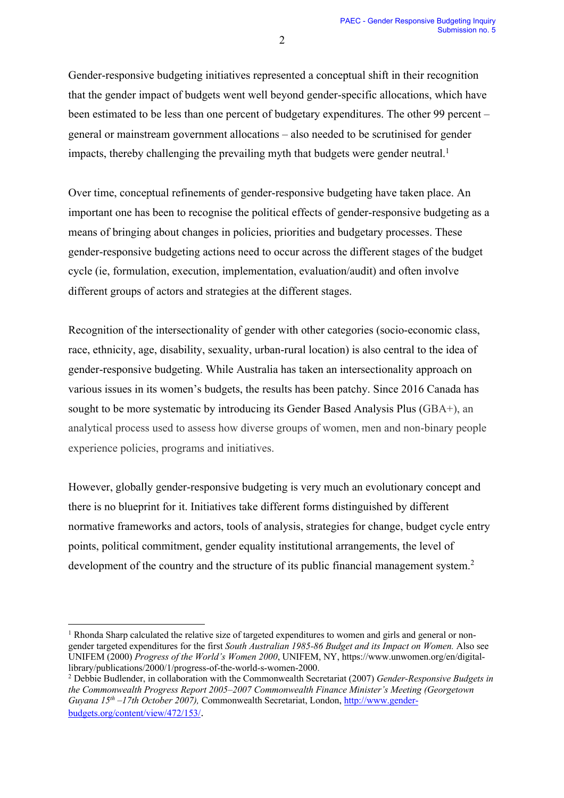Gender-responsive budgeting initiatives represented a conceptual shift in their recognition that the gender impact of budgets went well beyond gender-specific allocations, which have been estimated to be less than one percent of budgetary expenditures. The other 99 percent – general or mainstream government allocations – also needed to be scrutinised for gender impacts, thereby challenging the prevailing myth that budgets were gender neutral.<sup>1</sup>

Over time, conceptual refinements of gender-responsive budgeting have taken place. An important one has been to recognise the political effects of gender-responsive budgeting as a means of bringing about changes in policies, priorities and budgetary processes. These gender-responsive budgeting actions need to occur across the different stages of the budget cycle (ie, formulation, execution, implementation, evaluation/audit) and often involve different groups of actors and strategies at the different stages.

Recognition of the intersectionality of gender with other categories (socio-economic class, race, ethnicity, age, disability, sexuality, urban-rural location) is also central to the idea of gender-responsive budgeting. While Australia has taken an intersectionality approach on various issues in its women's budgets, the results has been patchy. Since 2016 Canada has sought to be more systematic by introducing its Gender Based Analysis Plus (GBA+), an analytical process used to assess how diverse groups of women, men and non-binary people experience policies, programs and initiatives.

However, globally gender-responsive budgeting is very much an evolutionary concept and there is no blueprint for it. Initiatives take different forms distinguished by different normative frameworks and actors, tools of analysis, strategies for change, budget cycle entry points, political commitment, gender equality institutional arrangements, the level of development of the country and the structure of its public financial management system.<sup>2</sup>

 $1$  Rhonda Sharp calculated the relative size of targeted expenditures to women and girls and general or nongender targeted expenditures for the first *South Australian 1985-86 Budget and its Impact on Women.* Also see UNIFEM (2000) *Progress of the World's Women 2000*, UNIFEM, NY, https://www.unwomen.org/en/digitallibrary/publications/2000/1/progress-of-the-world-s-women-2000.

<sup>2</sup> Debbie Budlender, in collaboration with the Commonwealth Secretariat (2007) *Gender-Responsive Budgets in the Commonwealth Progress Report 2005–2007 Commonwealth Finance Minister's Meeting (Georgetown Guyana 15th –17th October 2007),* Commonwealth Secretariat, London, http://www.genderbudgets.org/content/view/472/153/.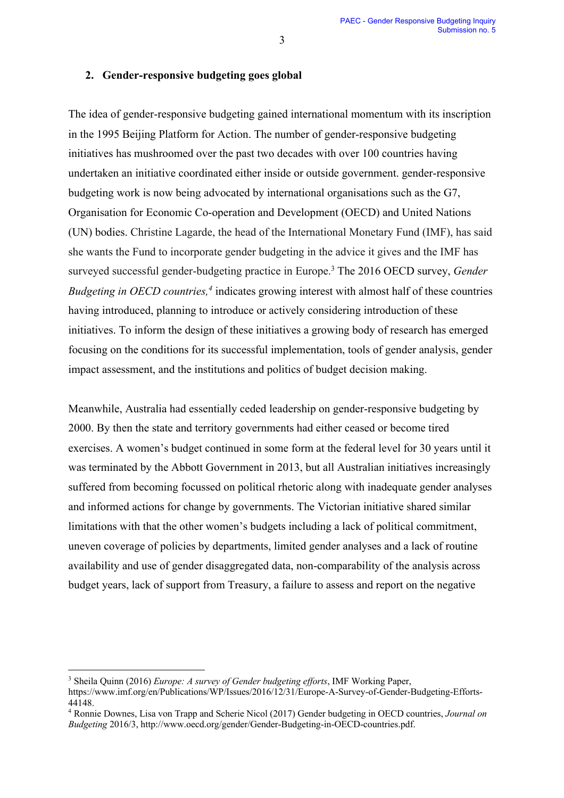#### **2. Gender-responsive budgeting goes global**

The idea of gender-responsive budgeting gained international momentum with its inscription in the 1995 Beijing Platform for Action. The number of gender-responsive budgeting initiatives has mushroomed over the past two decades with over 100 countries having undertaken an initiative coordinated either inside or outside government. gender-responsive budgeting work is now being advocated by international organisations such as the G7, Organisation for Economic Co-operation and Development (OECD) and United Nations (UN) bodies. Christine Lagarde, the head of the International Monetary Fund (IMF), has said she wants the Fund to incorporate gender budgeting in the advice it gives and the IMF has surveyed successful gender-budgeting practice in Europe. <sup>3</sup> The 2016 OECD survey, *Gender Budgeting in OECD countries, <sup>4</sup>* indicates growing interest with almost half of these countries having introduced, planning to introduce or actively considering introduction of these initiatives. To inform the design of these initiatives a growing body of research has emerged focusing on the conditions for its successful implementation, tools of gender analysis, gender impact assessment, and the institutions and politics of budget decision making.

Meanwhile, Australia had essentially ceded leadership on gender-responsive budgeting by 2000. By then the state and territory governments had either ceased or become tired exercises. A women's budget continued in some form at the federal level for 30 years until it was terminated by the Abbott Government in 2013, but all Australian initiatives increasingly suffered from becoming focussed on political rhetoric along with inadequate gender analyses and informed actions for change by governments. The Victorian initiative shared similar limitations with that the other women's budgets including a lack of political commitment, uneven coverage of policies by departments, limited gender analyses and a lack of routine availability and use of gender disaggregated data, non-comparability of the analysis across budget years, lack of support from Treasury, a failure to assess and report on the negative

<sup>3</sup> Sheila Quinn (2016) *Europe: A survey of Gender budgeting efforts*, IMF Working Paper,

https://www.imf.org/en/Publications/WP/Issues/2016/12/31/Europe-A-Survey-of-Gender-Budgeting-Efforts-44148.

<sup>4</sup> Ronnie Downes, Lisa von Trapp and Scherie Nicol (2017) Gender budgeting in OECD countries, *Journal on Budgeting* 2016/3, http://www.oecd.org/gender/Gender-Budgeting-in-OECD-countries.pdf.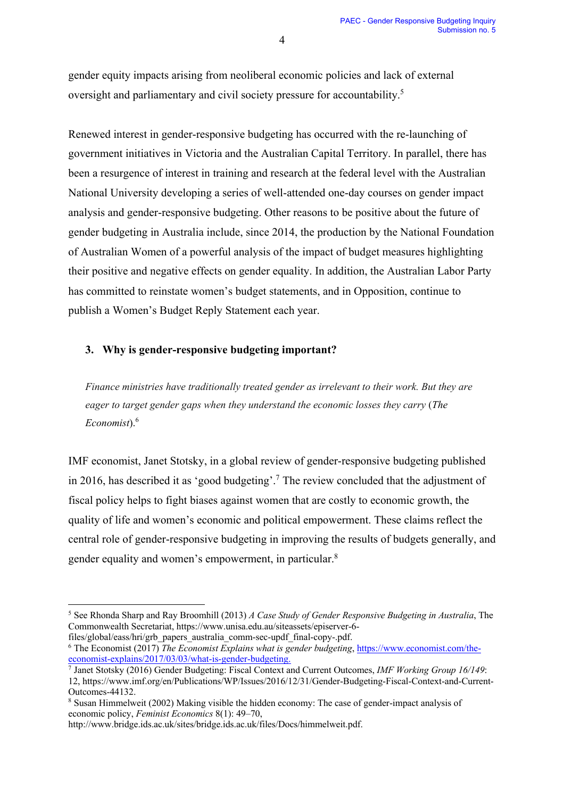gender equity impacts arising from neoliberal economic policies and lack of external oversight and parliamentary and civil society pressure for accountability.<sup>5</sup>

Renewed interest in gender-responsive budgeting has occurred with the re-launching of government initiatives in Victoria and the Australian Capital Territory. In parallel, there has been a resurgence of interest in training and research at the federal level with the Australian National University developing a series of well-attended one-day courses on gender impact analysis and gender-responsive budgeting. Other reasons to be positive about the future of gender budgeting in Australia include, since 2014, the production by the National Foundation of Australian Women of a powerful analysis of the impact of budget measures highlighting their positive and negative effects on gender equality. In addition, the Australian Labor Party has committed to reinstate women's budget statements, and in Opposition, continue to publish a Women's Budget Reply Statement each year.

# **3. Why is gender-responsive budgeting important?**

*Finance ministries have traditionally treated gender as irrelevant to their work. But they are eager to target gender gaps when they understand the economic losses they carry* (*The Economist*). 6

IMF economist, Janet Stotsky, in a global review of gender-responsive budgeting published in 2016, has described it as 'good budgeting'. <sup>7</sup> The review concluded that the adjustment of fiscal policy helps to fight biases against women that are costly to economic growth, the quality of life and women's economic and political empowerment. These claims reflect the central role of gender-responsive budgeting in improving the results of budgets generally, and gender equality and women's empowerment, in particular.<sup>8</sup>

<sup>5</sup> See Rhonda Sharp and Ray Broomhill (2013) *A Case Study of Gender Responsive Budgeting in Australia*, The Commonwealth Secretariat, https://www.unisa.edu.au/siteassets/episerver-6 files/global/eass/hri/grb\_papers\_australia\_comm-sec-updf\_final-copy-.pdf.

<sup>&</sup>lt;sup>6</sup> The Economist (2017) *The Economist Explains what is gender budgeting*, https://www.economist.com/theeconomist-explains/2017/03/03/what-is-gender-budgeting.

<sup>7</sup> Janet Stotsky (2016) Gender Budgeting: Fiscal Context and Current Outcomes, *IMF Working Group 16/149*: 12, https://www.imf.org/en/Publications/WP/Issues/2016/12/31/Gender-Budgeting-Fiscal-Context-and-Current-Outcomes-44132.

<sup>8</sup> Susan Himmelweit (2002) Making visible the hidden economy: The case of gender-impact analysis of economic policy, *Feminist Economics* 8(1): 49–70,

http://www.bridge.ids.ac.uk/sites/bridge.ids.ac.uk/files/Docs/himmelweit.pdf.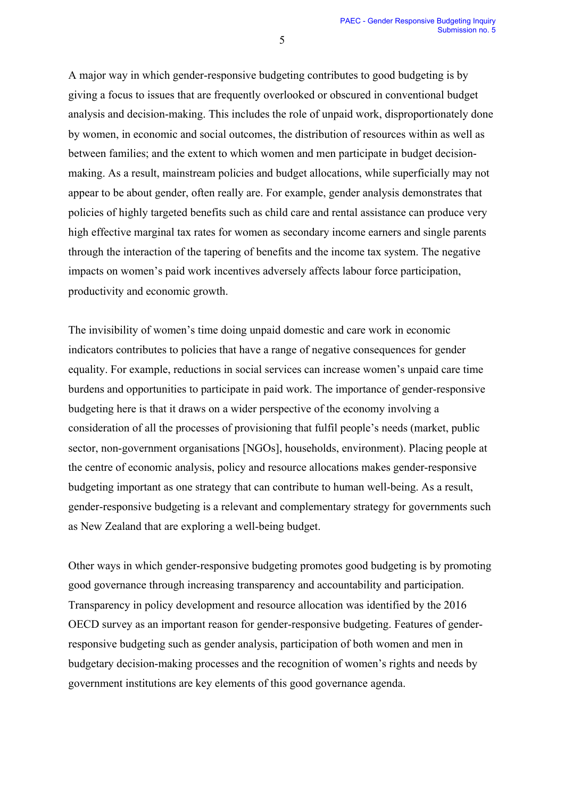A major way in which gender-responsive budgeting contributes to good budgeting is by giving a focus to issues that are frequently overlooked or obscured in conventional budget analysis and decision-making. This includes the role of unpaid work, disproportionately done by women, in economic and social outcomes, the distribution of resources within as well as between families; and the extent to which women and men participate in budget decisionmaking. As a result, mainstream policies and budget allocations, while superficially may not appear to be about gender, often really are. For example, gender analysis demonstrates that policies of highly targeted benefits such as child care and rental assistance can produce very high effective marginal tax rates for women as secondary income earners and single parents through the interaction of the tapering of benefits and the income tax system. The negative impacts on women's paid work incentives adversely affects labour force participation, productivity and economic growth.

The invisibility of women's time doing unpaid domestic and care work in economic indicators contributes to policies that have a range of negative consequences for gender equality. For example, reductions in social services can increase women's unpaid care time burdens and opportunities to participate in paid work. The importance of gender-responsive budgeting here is that it draws on a wider perspective of the economy involving a consideration of all the processes of provisioning that fulfil people's needs (market, public sector, non-government organisations [NGOs], households, environment). Placing people at the centre of economic analysis, policy and resource allocations makes gender-responsive budgeting important as one strategy that can contribute to human well-being. As a result, gender-responsive budgeting is a relevant and complementary strategy for governments such as New Zealand that are exploring a well-being budget.

Other ways in which gender-responsive budgeting promotes good budgeting is by promoting good governance through increasing transparency and accountability and participation. Transparency in policy development and resource allocation was identified by the 2016 OECD survey as an important reason for gender-responsive budgeting. Features of genderresponsive budgeting such as gender analysis, participation of both women and men in budgetary decision-making processes and the recognition of women's rights and needs by government institutions are key elements of this good governance agenda.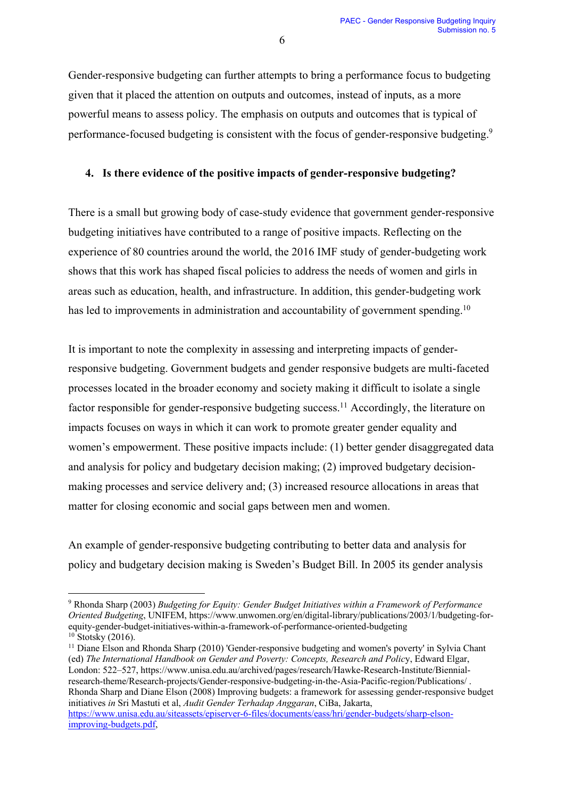Gender-responsive budgeting can further attempts to bring a performance focus to budgeting given that it placed the attention on outputs and outcomes, instead of inputs, as a more powerful means to assess policy. The emphasis on outputs and outcomes that is typical of performance-focused budgeting is consistent with the focus of gender-responsive budgeting.<sup>9</sup>

# **4. Is there evidence of the positive impacts of gender-responsive budgeting?**

There is a small but growing body of case-study evidence that government gender-responsive budgeting initiatives have contributed to a range of positive impacts. Reflecting on the experience of 80 countries around the world, the 2016 IMF study of gender-budgeting work shows that this work has shaped fiscal policies to address the needs of women and girls in areas such as education, health, and infrastructure. In addition, this gender-budgeting work has led to improvements in administration and accountability of government spending.<sup>10</sup>

It is important to note the complexity in assessing and interpreting impacts of genderresponsive budgeting. Government budgets and gender responsive budgets are multi-faceted processes located in the broader economy and society making it difficult to isolate a single factor responsible for gender-responsive budgeting success.<sup>11</sup> Accordingly, the literature on impacts focuses on ways in which it can work to promote greater gender equality and women's empowerment. These positive impacts include: (1) better gender disaggregated data and analysis for policy and budgetary decision making; (2) improved budgetary decisionmaking processes and service delivery and; (3) increased resource allocations in areas that matter for closing economic and social gaps between men and women.

An example of gender-responsive budgeting contributing to better data and analysis for policy and budgetary decision making is Sweden's Budget Bill. In 2005 its gender analysis

<sup>11</sup> Diane Elson and Rhonda Sharp (2010) 'Gender-responsive budgeting and women's poverty' in Sylvia Chant (ed) *The International Handbook on Gender and Poverty: Concepts, Research and Polic*y, Edward Elgar, London: 522–527, https://www.unisa.edu.au/archived/pages/research/Hawke-Research-Institute/Biennialresearch-theme/Research-projects/Gender-responsive-budgeting-in-the-Asia-Pacific-region/Publications/ . Rhonda Sharp and Diane Elson (2008) Improving budgets: a framework for assessing gender-responsive budget initiatives *in* Sri Mastuti et al, *Audit Gender Terhadap Anggaran*, CiBa, Jakarta, https://www.unisa.edu.au/siteassets/episerver-6-files/documents/eass/hri/gender-budgets/sharp-elsonimproving-budgets.pdf,

<sup>9</sup> Rhonda Sharp (2003) *Budgeting for Equity: Gender Budget Initiatives within a Framework of Performance Oriented Budgeting*, UNIFEM, https://www.unwomen.org/en/digital-library/publications/2003/1/budgeting-forequity-gender-budget-initiatives-within-a-framework-of-performance-oriented-budgeting  $10$  Stotsky (2016).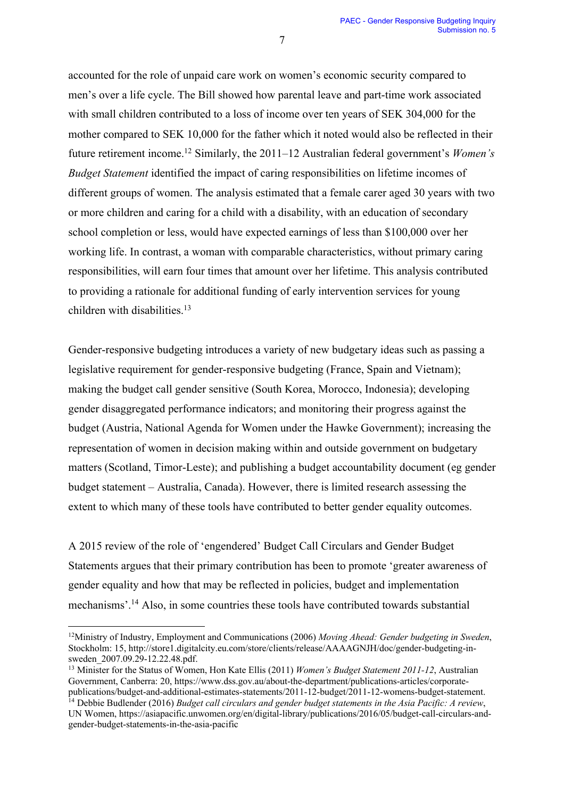accounted for the role of unpaid care work on women's economic security compared to men's over a life cycle. The Bill showed how parental leave and part-time work associated with small children contributed to a loss of income over ten years of SEK 304,000 for the mother compared to SEK 10,000 for the father which it noted would also be reflected in their future retirement income. <sup>12</sup> Similarly, the 2011–12 Australian federal government's *Women's Budget Statement* identified the impact of caring responsibilities on lifetime incomes of different groups of women. The analysis estimated that a female carer aged 30 years with two or more children and caring for a child with a disability, with an education of secondary school completion or less, would have expected earnings of less than \$100,000 over her working life. In contrast, a woman with comparable characteristics, without primary caring responsibilities, will earn four times that amount over her lifetime. This analysis contributed to providing a rationale for additional funding of early intervention services for young children with disabilities. 13

Gender-responsive budgeting introduces a variety of new budgetary ideas such as passing a legislative requirement for gender-responsive budgeting (France, Spain and Vietnam); making the budget call gender sensitive (South Korea, Morocco, Indonesia); developing gender disaggregated performance indicators; and monitoring their progress against the budget (Austria, National Agenda for Women under the Hawke Government); increasing the representation of women in decision making within and outside government on budgetary matters (Scotland, Timor-Leste); and publishing a budget accountability document (eg gender budget statement – Australia, Canada). However, there is limited research assessing the extent to which many of these tools have contributed to better gender equality outcomes.

A 2015 review of the role of 'engendered' Budget Call Circulars and Gender Budget Statements argues that their primary contribution has been to promote 'greater awareness of gender equality and how that may be reflected in policies, budget and implementation mechanisms'. <sup>14</sup> Also, in some countries these tools have contributed towards substantial

<sup>12</sup>Ministry of Industry, Employment and Communications (2006) *Moving Ahead: Gender budgeting in Sweden*, Stockholm: 15, http://store1.digitalcity.eu.com/store/clients/release/AAAAGNJH/doc/gender-budgeting-insweden\_2007.09.29-12.22.48.pdf.

<sup>13</sup> Minister for the Status of Women, Hon Kate Ellis (2011) *Women's Budget Statement 2011-12*, Australian Government, Canberra: 20, https://www.dss.gov.au/about-the-department/publications-articles/corporatepublications/budget-and-additional-estimates-statements/2011-12-budget/2011-12-womens-budget-statement.

<sup>&</sup>lt;sup>14</sup> Debbie Budlender (2016) *Budget call circulars and gender budget statements in the Asia Pacific: A review*, UN Women, https://asiapacific.unwomen.org/en/digital-library/publications/2016/05/budget-call-circulars-andgender-budget-statements-in-the-asia-pacific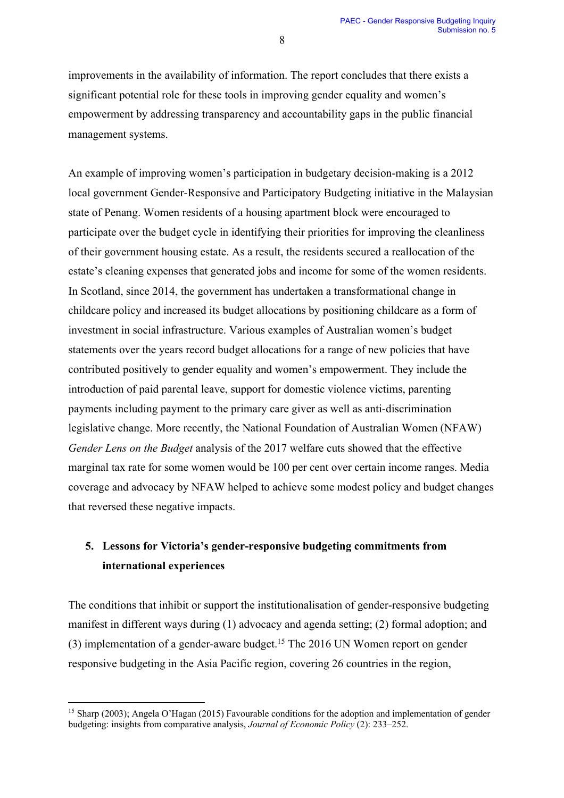improvements in the availability of information. The report concludes that there exists a significant potential role for these tools in improving gender equality and women's empowerment by addressing transparency and accountability gaps in the public financial management systems.

An example of improving women's participation in budgetary decision-making is a 2012 local government Gender-Responsive and Participatory Budgeting initiative in the Malaysian state of Penang. Women residents of a housing apartment block were encouraged to participate over the budget cycle in identifying their priorities for improving the cleanliness of their government housing estate. As a result, the residents secured a reallocation of the estate's cleaning expenses that generated jobs and income for some of the women residents. In Scotland, since 2014, the government has undertaken a transformational change in childcare policy and increased its budget allocations by positioning childcare as a form of investment in social infrastructure. Various examples of Australian women's budget statements over the years record budget allocations for a range of new policies that have contributed positively to gender equality and women's empowerment. They include the introduction of paid parental leave, support for domestic violence victims, parenting payments including payment to the primary care giver as well as anti-discrimination legislative change. More recently, the National Foundation of Australian Women (NFAW) *Gender Lens on the Budget* analysis of the 2017 welfare cuts showed that the effective marginal tax rate for some women would be 100 per cent over certain income ranges. Media coverage and advocacy by NFAW helped to achieve some modest policy and budget changes that reversed these negative impacts.

# **5. Lessons for Victoria's gender-responsive budgeting commitments from international experiences**

The conditions that inhibit or support the institutionalisation of gender-responsive budgeting manifest in different ways during (1) advocacy and agenda setting; (2) formal adoption; and (3) implementation of a gender-aware budget.<sup>15</sup> The 2016 UN Women report on gender responsive budgeting in the Asia Pacific region, covering 26 countries in the region,

<sup>&</sup>lt;sup>15</sup> Sharp (2003); Angela O'Hagan (2015) Favourable conditions for the adoption and implementation of gender budgeting: insights from comparative analysis, *Journal of Economic Policy* (2): 233–252.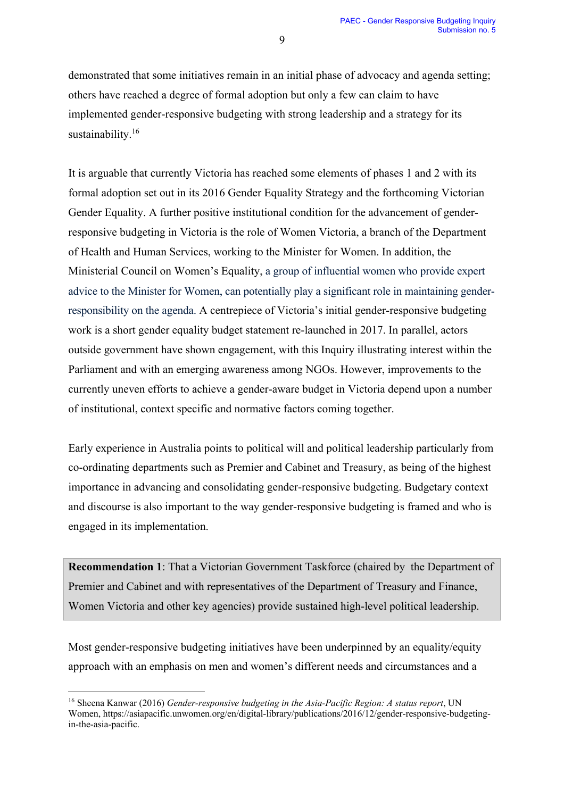demonstrated that some initiatives remain in an initial phase of advocacy and agenda setting; others have reached a degree of formal adoption but only a few can claim to have implemented gender-responsive budgeting with strong leadership and a strategy for its sustainability.<sup>16</sup>

It is arguable that currently Victoria has reached some elements of phases 1 and 2 with its formal adoption set out in its 2016 Gender Equality Strategy and the forthcoming Victorian Gender Equality. A further positive institutional condition for the advancement of genderresponsive budgeting in Victoria is the role of Women Victoria, a branch of the Department of Health and Human Services, working to the Minister for Women. In addition, the Ministerial Council on Women's Equality, a group of influential women who provide expert advice to the Minister for Women, can potentially play a significant role in maintaining genderresponsibility on the agenda. A centrepiece of Victoria's initial gender-responsive budgeting work is a short gender equality budget statement re-launched in 2017. In parallel, actors outside government have shown engagement, with this Inquiry illustrating interest within the Parliament and with an emerging awareness among NGOs. However, improvements to the currently uneven efforts to achieve a gender-aware budget in Victoria depend upon a number of institutional, context specific and normative factors coming together.

Early experience in Australia points to political will and political leadership particularly from co-ordinating departments such as Premier and Cabinet and Treasury, as being of the highest importance in advancing and consolidating gender-responsive budgeting. Budgetary context and discourse is also important to the way gender-responsive budgeting is framed and who is engaged in its implementation.

**Recommendation 1**: That a Victorian Government Taskforce (chaired by the Department of Premier and Cabinet and with representatives of the Department of Treasury and Finance, Women Victoria and other key agencies) provide sustained high-level political leadership.

Most gender-responsive budgeting initiatives have been underpinned by an equality/equity approach with an emphasis on men and women's different needs and circumstances and a

<sup>16</sup> Sheena Kanwar (2016) *Gender-responsive budgeting in the Asia-Pacific Region: A status report*, UN Women, https://asiapacific.unwomen.org/en/digital-library/publications/2016/12/gender-responsive-budgetingin-the-asia-pacific.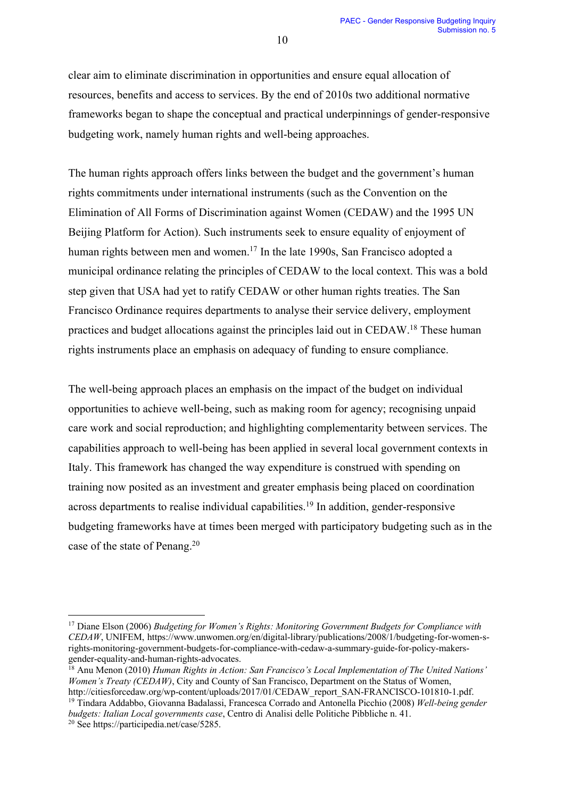clear aim to eliminate discrimination in opportunities and ensure equal allocation of resources, benefits and access to services. By the end of 2010s two additional normative frameworks began to shape the conceptual and practical underpinnings of gender-responsive budgeting work, namely human rights and well-being approaches.

The human rights approach offers links between the budget and the government's human rights commitments under international instruments (such as the Convention on the Elimination of All Forms of Discrimination against Women (CEDAW) and the 1995 UN Beijing Platform for Action). Such instruments seek to ensure equality of enjoyment of human rights between men and women.<sup>17</sup> In the late 1990s, San Francisco adopted a municipal ordinance relating the principles of CEDAW to the local context. This was a bold step given that USA had yet to ratify CEDAW or other human rights treaties. The San Francisco Ordinance requires departments to analyse their service delivery, employment practices and budget allocations against the principles laid out in CEDAW.<sup>18</sup> These human rights instruments place an emphasis on adequacy of funding to ensure compliance.

The well-being approach places an emphasis on the impact of the budget on individual opportunities to achieve well-being, such as making room for agency; recognising unpaid care work and social reproduction; and highlighting complementarity between services. The capabilities approach to well-being has been applied in several local government contexts in Italy. This framework has changed the way expenditure is construed with spending on training now posited as an investment and greater emphasis being placed on coordination across departments to realise individual capabilities. <sup>19</sup> In addition, gender-responsive budgeting frameworks have at times been merged with participatory budgeting such as in the case of the state of Penang.<sup>20</sup>

<sup>17</sup> Diane Elson (2006) *Budgeting for Women's Rights: Monitoring Government Budgets for Compliance with CEDAW*, UNIFEM, https://www.unwomen.org/en/digital-library/publications/2008/1/budgeting-for-women-srights-monitoring-government-budgets-for-compliance-with-cedaw-a-summary-guide-for-policy-makersgender-equality-and-human-rights-advocates.

<sup>18</sup> Anu Menon (2010) *Human Rights in Action: San Francisco's Local Implementation of The United Nations' Women's Treaty (CEDAW)*, City and County of San Francisco, Department on the Status of Women, http://citiesforcedaw.org/wp-content/uploads/2017/01/CEDAW\_report\_SAN-FRANCISCO-101810-1.pdf.

<sup>19</sup> Tindara Addabbo, Giovanna Badalassi, Francesca Corrado and Antonella Picchio (2008) *Well-being gender budgets: Italian Local governments case*, Centro di Analisi delle Politiche Pibbliche n. 41.

<sup>20</sup> See https://participedia.net/case/5285.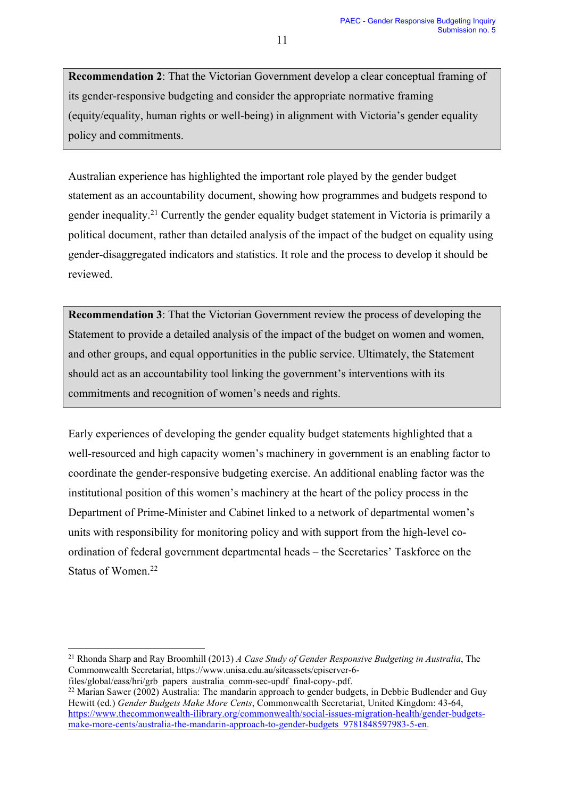**Recommendation 2**: That the Victorian Government develop a clear conceptual framing of its gender-responsive budgeting and consider the appropriate normative framing (equity/equality, human rights or well-being) in alignment with Victoria's gender equality policy and commitments.

Australian experience has highlighted the important role played by the gender budget statement as an accountability document, showing how programmes and budgets respond to gender inequality. <sup>21</sup> Currently the gender equality budget statement in Victoria is primarily a political document, rather than detailed analysis of the impact of the budget on equality using gender-disaggregated indicators and statistics. It role and the process to develop it should be reviewed.

**Recommendation 3**: That the Victorian Government review the process of developing the Statement to provide a detailed analysis of the impact of the budget on women and women, and other groups, and equal opportunities in the public service. Ultimately, the Statement should act as an accountability tool linking the government's interventions with its commitments and recognition of women's needs and rights.

Early experiences of developing the gender equality budget statements highlighted that a well-resourced and high capacity women's machinery in government is an enabling factor to coordinate the gender-responsive budgeting exercise. An additional enabling factor was the institutional position of this women's machinery at the heart of the policy process in the Department of Prime-Minister and Cabinet linked to a network of departmental women's units with responsibility for monitoring policy and with support from the high-level coordination of federal government departmental heads – the Secretaries' Taskforce on the Status of Women. 22

<sup>21</sup> Rhonda Sharp and Ray Broomhill (2013) *A Case Study of Gender Responsive Budgeting in Australia*, The Commonwealth Secretariat, https://www.unisa.edu.au/siteassets/episerver-6-

files/global/eass/hri/grb\_papers\_australia\_comm-sec-updf\_final-copy-.pdf.

 $^{22}$  Marian Sawer (2002) Australia: The mandarin approach to gender budgets, in Debbie Budlender and Guy Hewitt (ed.) *Gender Budgets Make More Cents*, Commonwealth Secretariat, United Kingdom: 43-64, https://www.thecommonwealth-ilibrary.org/commonwealth/social-issues-migration-health/gender-budgetsmake-more-cents/australia-the-mandarin-approach-to-gender-budgets\_9781848597983-5-en.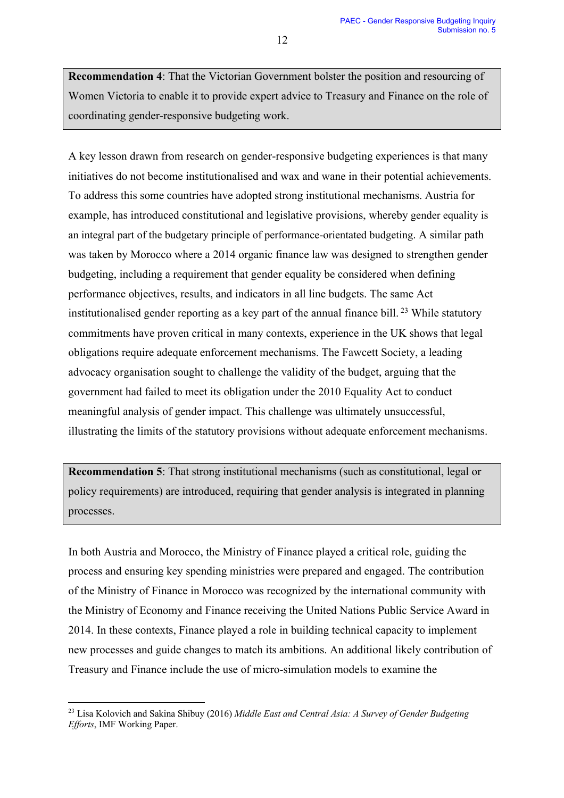**Recommendation 4**: That the Victorian Government bolster the position and resourcing of Women Victoria to enable it to provide expert advice to Treasury and Finance on the role of coordinating gender-responsive budgeting work.

A key lesson drawn from research on gender-responsive budgeting experiences is that many initiatives do not become institutionalised and wax and wane in their potential achievements. To address this some countries have adopted strong institutional mechanisms. Austria for example, has introduced constitutional and legislative provisions, whereby gender equality is an integral part of the budgetary principle of performance-orientated budgeting. A similar path was taken by Morocco where a 2014 organic finance law was designed to strengthen gender budgeting, including a requirement that gender equality be considered when defining performance objectives, results, and indicators in all line budgets. The same Act institutionalised gender reporting as a key part of the annual finance bill.<sup>23</sup> While statutory commitments have proven critical in many contexts, experience in the UK shows that legal obligations require adequate enforcement mechanisms. The Fawcett Society, a leading advocacy organisation sought to challenge the validity of the budget, arguing that the government had failed to meet its obligation under the 2010 Equality Act to conduct meaningful analysis of gender impact. This challenge was ultimately unsuccessful, illustrating the limits of the statutory provisions without adequate enforcement mechanisms.

**Recommendation 5**: That strong institutional mechanisms (such as constitutional, legal or policy requirements) are introduced, requiring that gender analysis is integrated in planning processes.

In both Austria and Morocco, the Ministry of Finance played a critical role, guiding the process and ensuring key spending ministries were prepared and engaged. The contribution of the Ministry of Finance in Morocco was recognized by the international community with the Ministry of Economy and Finance receiving the United Nations Public Service Award in 2014. In these contexts, Finance played a role in building technical capacity to implement new processes and guide changes to match its ambitions. An additional likely contribution of Treasury and Finance include the use of micro-simulation models to examine the

<sup>23</sup> Lisa Kolovich and Sakina Shibuy (2016) *Middle East and Central Asia: A Survey of Gender Budgeting Efforts*, IMF Working Paper.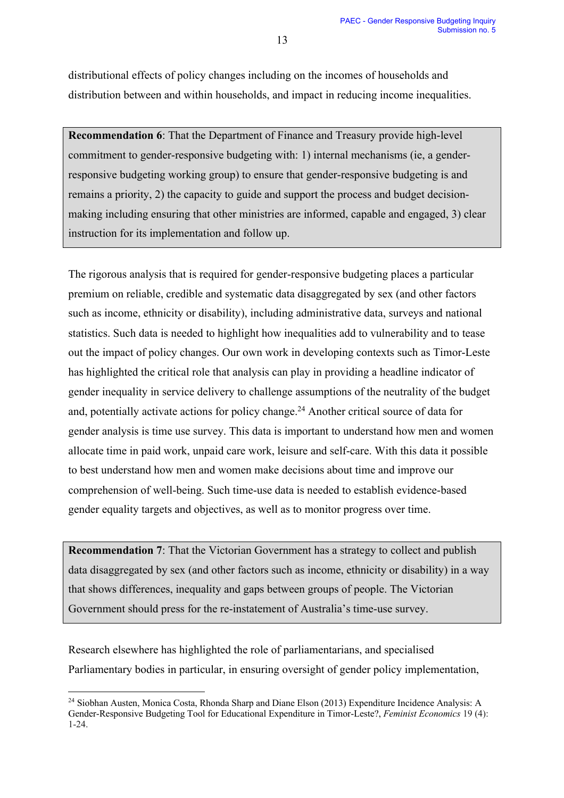distributional effects of policy changes including on the incomes of households and distribution between and within households, and impact in reducing income inequalities.

**Recommendation 6**: That the Department of Finance and Treasury provide high-level commitment to gender-responsive budgeting with: 1) internal mechanisms (ie, a genderresponsive budgeting working group) to ensure that gender-responsive budgeting is and remains a priority, 2) the capacity to guide and support the process and budget decisionmaking including ensuring that other ministries are informed, capable and engaged, 3) clear instruction for its implementation and follow up.

The rigorous analysis that is required for gender-responsive budgeting places a particular premium on reliable, credible and systematic data disaggregated by sex (and other factors such as income, ethnicity or disability), including administrative data, surveys and national statistics. Such data is needed to highlight how inequalities add to vulnerability and to tease out the impact of policy changes. Our own work in developing contexts such as Timor-Leste has highlighted the critical role that analysis can play in providing a headline indicator of gender inequality in service delivery to challenge assumptions of the neutrality of the budget and, potentially activate actions for policy change. <sup>24</sup> Another critical source of data for gender analysis is time use survey. This data is important to understand how men and women allocate time in paid work, unpaid care work, leisure and self-care. With this data it possible to best understand how men and women make decisions about time and improve our comprehension of well-being. Such time-use data is needed to establish evidence-based gender equality targets and objectives, as well as to monitor progress over time.

**Recommendation 7**: That the Victorian Government has a strategy to collect and publish data disaggregated by sex (and other factors such as income, ethnicity or disability) in a way that shows differences, inequality and gaps between groups of people. The Victorian Government should press for the re-instatement of Australia's time-use survey.

Research elsewhere has highlighted the role of parliamentarians, and specialised Parliamentary bodies in particular, in ensuring oversight of gender policy implementation,

<sup>24</sup> Siobhan Austen, Monica Costa, Rhonda Sharp and Diane Elson (2013) Expenditure Incidence Analysis: A Gender-Responsive Budgeting Tool for Educational Expenditure in Timor-Leste?, *Feminist Economics* 19 (4): 1-24.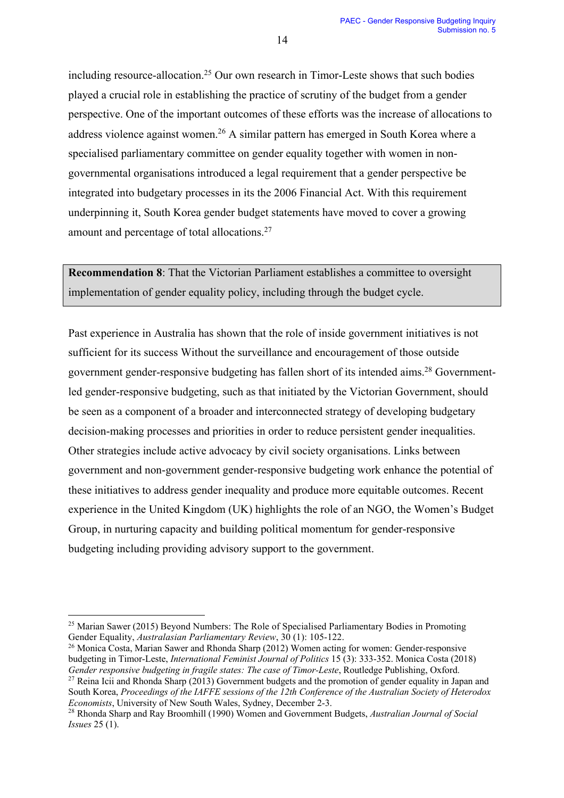including resource-allocation.<sup>25</sup> Our own research in Timor-Leste shows that such bodies played a crucial role in establishing the practice of scrutiny of the budget from a gender perspective. One of the important outcomes of these efforts was the increase of allocations to address violence against women.<sup>26</sup> A similar pattern has emerged in South Korea where a specialised parliamentary committee on gender equality together with women in nongovernmental organisations introduced a legal requirement that a gender perspective be integrated into budgetary processes in its the 2006 Financial Act. With this requirement underpinning it, South Korea gender budget statements have moved to cover a growing amount and percentage of total allocations.<sup>27</sup>

**Recommendation 8**: That the Victorian Parliament establishes a committee to oversight implementation of gender equality policy, including through the budget cycle.

Past experience in Australia has shown that the role of inside government initiatives is not sufficient for its success Without the surveillance and encouragement of those outside government gender-responsive budgeting has fallen short of its intended aims. <sup>28</sup> Governmentled gender-responsive budgeting, such as that initiated by the Victorian Government, should be seen as a component of a broader and interconnected strategy of developing budgetary decision-making processes and priorities in order to reduce persistent gender inequalities. Other strategies include active advocacy by civil society organisations. Links between government and non-government gender-responsive budgeting work enhance the potential of these initiatives to address gender inequality and produce more equitable outcomes. Recent experience in the United Kingdom (UK) highlights the role of an NGO, the Women's Budget Group, in nurturing capacity and building political momentum for gender-responsive budgeting including providing advisory support to the government.

<sup>&</sup>lt;sup>25</sup> Marian Sawer (2015) Beyond Numbers: The Role of Specialised Parliamentary Bodies in Promoting Gender Equality, *Australasian Parliamentary Review*, 30 (1): 105-122.

<sup>26</sup> Monica Costa, Marian Sawer and Rhonda Sharp (2012) Women acting for women: Gender-responsive budgeting in Timor-Leste, *International Feminist Journal of Politics* 15 (3): 333-352. Monica Costa (2018) *Gender responsive budgeting in fragile states: The case of Timor-Leste*, Routledge Publishing, Oxford.

<sup>&</sup>lt;sup>27</sup> Reina Icii and Rhonda Sharp (2013) Government budgets and the promotion of gender equality in Japan and South Korea, *Proceedings of the IAFFE sessions of the 12th Conference of the Australian Society of Heterodox Economists*, University of New South Wales, Sydney, December 2-3.

<sup>28</sup> Rhonda Sharp and Ray Broomhill (1990) Women and Government Budgets, *Australian Journal of Social Issues* 25 (1).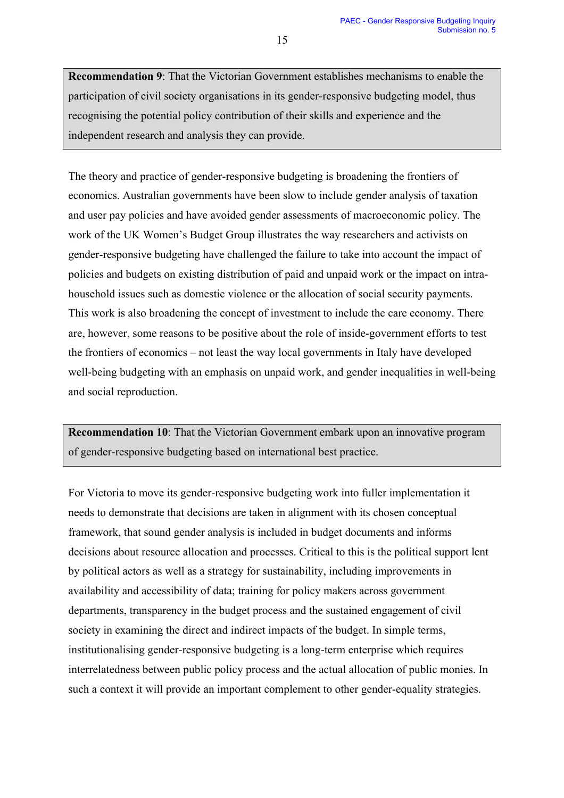**Recommendation 9**: That the Victorian Government establishes mechanisms to enable the participation of civil society organisations in its gender-responsive budgeting model, thus recognising the potential policy contribution of their skills and experience and the independent research and analysis they can provide.

The theory and practice of gender-responsive budgeting is broadening the frontiers of economics. Australian governments have been slow to include gender analysis of taxation and user pay policies and have avoided gender assessments of macroeconomic policy. The work of the UK Women's Budget Group illustrates the way researchers and activists on gender-responsive budgeting have challenged the failure to take into account the impact of policies and budgets on existing distribution of paid and unpaid work or the impact on intrahousehold issues such as domestic violence or the allocation of social security payments. This work is also broadening the concept of investment to include the care economy. There are, however, some reasons to be positive about the role of inside-government efforts to test the frontiers of economics – not least the way local governments in Italy have developed well-being budgeting with an emphasis on unpaid work, and gender inequalities in well-being and social reproduction.

**Recommendation 10**: That the Victorian Government embark upon an innovative program of gender-responsive budgeting based on international best practice.

For Victoria to move its gender-responsive budgeting work into fuller implementation it needs to demonstrate that decisions are taken in alignment with its chosen conceptual framework, that sound gender analysis is included in budget documents and informs decisions about resource allocation and processes. Critical to this is the political support lent by political actors as well as a strategy for sustainability, including improvements in availability and accessibility of data; training for policy makers across government departments, transparency in the budget process and the sustained engagement of civil society in examining the direct and indirect impacts of the budget. In simple terms, institutionalising gender-responsive budgeting is a long-term enterprise which requires interrelatedness between public policy process and the actual allocation of public monies. In such a context it will provide an important complement to other gender-equality strategies.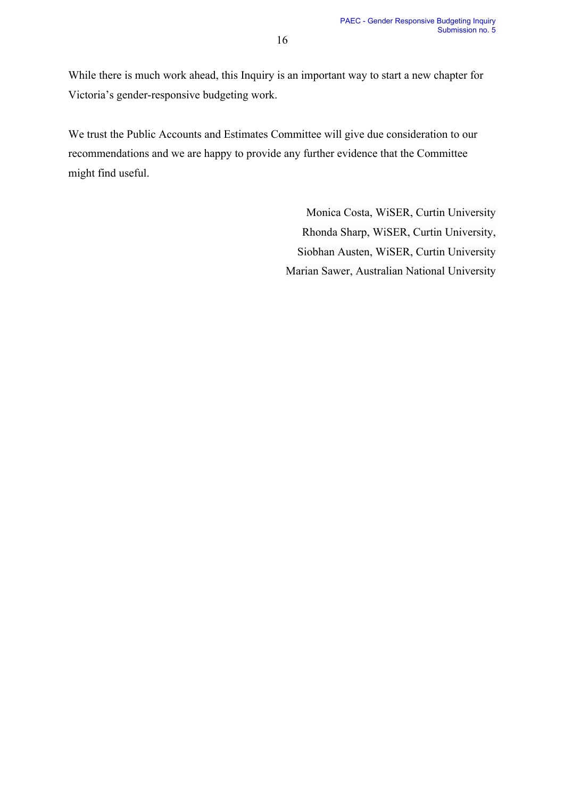While there is much work ahead, this Inquiry is an important way to start a new chapter for Victoria's gender-responsive budgeting work.

We trust the Public Accounts and Estimates Committee will give due consideration to our recommendations and we are happy to provide any further evidence that the Committee might find useful.

> Monica Costa, WiSER, Curtin University Rhonda Sharp, WiSER, Curtin University, Siobhan Austen, WiSER, Curtin University Marian Sawer, Australian National University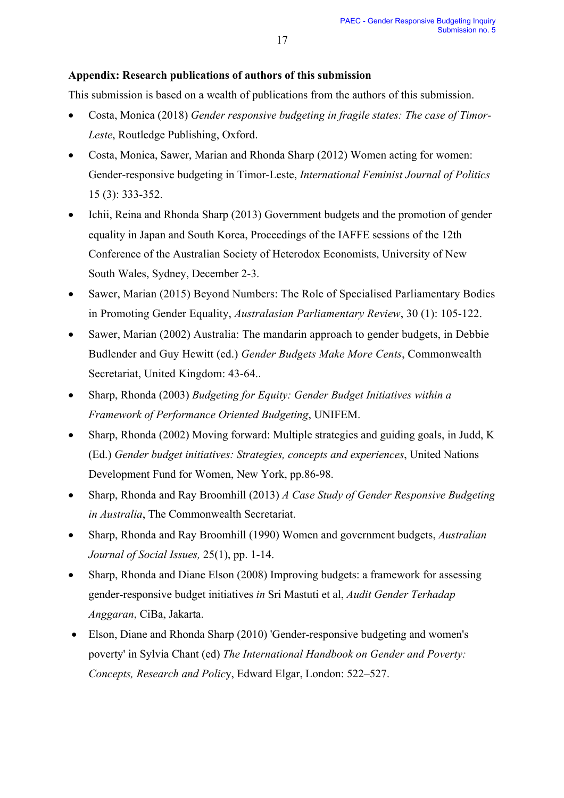# **Appendix: Research publications of authors of this submission**

This submission is based on a wealth of publications from the authors of this submission.

- Costa, Monica (2018) *Gender responsive budgeting in fragile states: The case of Timor-Leste*, Routledge Publishing, Oxford.
- Costa, Monica, Sawer, Marian and Rhonda Sharp (2012) Women acting for women: Gender-responsive budgeting in Timor-Leste, *International Feminist Journal of Politics*  15 (3): 333-352.
- Ichii, Reina and Rhonda Sharp (2013) Government budgets and the promotion of gender equality in Japan and South Korea, Proceedings of the IAFFE sessions of the 12th Conference of the Australian Society of Heterodox Economists, University of New South Wales, Sydney, December 2-3.
- Sawer, Marian (2015) Beyond Numbers: The Role of Specialised Parliamentary Bodies in Promoting Gender Equality, *Australasian Parliamentary Review*, 30 (1): 105-122.
- Sawer, Marian (2002) Australia: The mandarin approach to gender budgets, in Debbie Budlender and Guy Hewitt (ed.) *Gender Budgets Make More Cents*, Commonwealth Secretariat, United Kingdom: 43-64..
- Sharp, Rhonda (2003) *Budgeting for Equity: Gender Budget Initiatives within a Framework of Performance Oriented Budgeting*, UNIFEM.
- Sharp, Rhonda (2002) Moving forward: Multiple strategies and guiding goals, in Judd, K (Ed.) *Gender budget initiatives: Strategies, concepts and experiences*, United Nations Development Fund for Women, New York, pp.86-98.
- Sharp, Rhonda and Ray Broomhill (2013) *A Case Study of Gender Responsive Budgeting in Australia*, The Commonwealth Secretariat.
- Sharp, Rhonda and Ray Broomhill (1990) Women and government budgets, *Australian Journal of Social Issues,* 25(1), pp. 1-14.
- Sharp, Rhonda and Diane Elson (2008) Improving budgets: a framework for assessing gender-responsive budget initiatives *in* Sri Mastuti et al, *Audit Gender Terhadap Anggaran*, CiBa, Jakarta.
- Elson, Diane and Rhonda Sharp (2010) 'Gender-responsive budgeting and women's poverty' in Sylvia Chant (ed) *The International Handbook on Gender and Poverty: Concepts, Research and Polic*y, Edward Elgar, London: 522–527.